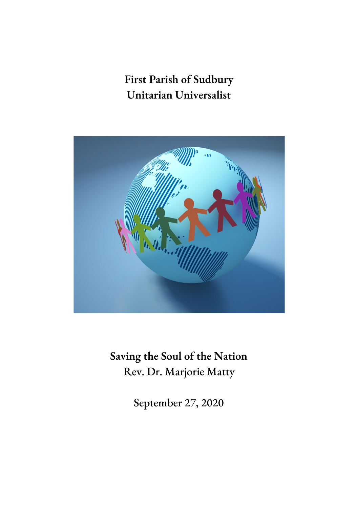# **First Parish of Sudbury Unitarian Universalist**



**Saving the Soul of the Nation** Rev. Dr. Marjorie Matty

September 27, 2020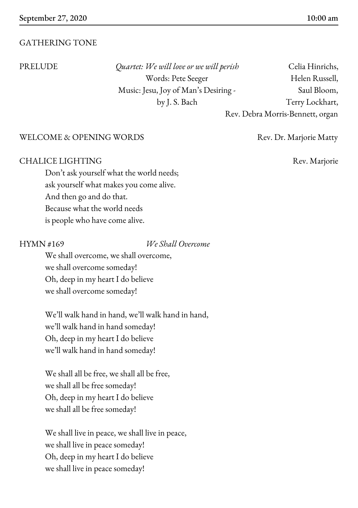#### GATHERING TONE

PRELUDE *Quartet: We will love or we will perish* Celia Hinrichs, Music: Jesu, Joy of Man's Desiring - Saul Bloom,

Words: Pete Seeger Helen Russell, by J. S. Bach Terry Lockhart, Rev. Debra Morris-Bennett, organ

#### WELCOME & OPENING WORDS Rev. Dr. Marjorie Matty

#### CHALICE LIGHTING Rev. Marjorie

Don't ask yourself what the world needs; ask yourself what makes you come alive. And then go and do that. Because what the world needs is people who have come alive.

HYMN #169 *We Shall Overcome*

We shall overcome, we shall overcome, we shall overcome someday! Oh, deep in my heart I do believe we shall overcome someday!

We'll walk hand in hand, we'll walk hand in hand, we'll walk hand in hand someday! Oh, deep in my heart I do believe we'll walk hand in hand someday!

We shall all be free, we shall all be free, we shall all be free someday! Oh, deep in my heart I do believe we shall all be free someday!

We shall live in peace, we shall live in peace, we shall live in peace someday! Oh, deep in my heart I do believe we shall live in peace someday!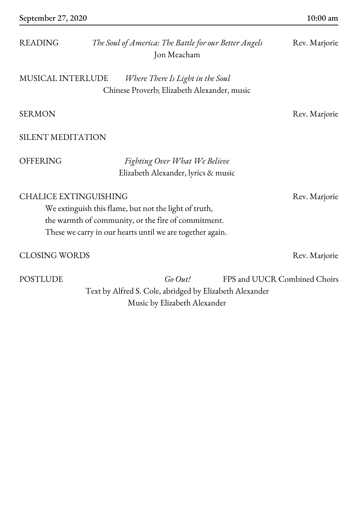| <b>READING</b>                                                                                                                                                                                            | The Soul of America: The Battle for our Better Angels<br>Jon Meacham            | Rev. Marjorie |
|-----------------------------------------------------------------------------------------------------------------------------------------------------------------------------------------------------------|---------------------------------------------------------------------------------|---------------|
| <b>MUSICAL INTERLUDE</b>                                                                                                                                                                                  | Where There Is Light in the Soul<br>Chinese Proverb; Elizabeth Alexander, music |               |
| <b>SERMON</b>                                                                                                                                                                                             |                                                                                 | Rev. Marjorie |
| <b>SILENT MEDITATION</b>                                                                                                                                                                                  |                                                                                 |               |
| <b>OFFERING</b>                                                                                                                                                                                           | Fighting Over What We Believe<br>Elizabeth Alexander, lyrics & music            |               |
| <b>CHALICE EXTINGUISHING</b><br>We extinguish this flame, but not the light of truth,<br>the warmth of community, or the fire of commitment.<br>These we carry in our hearts until we are together again. |                                                                                 | Rev. Marjorie |
| <b>CLOSING WORDS</b>                                                                                                                                                                                      |                                                                                 | Rev. Marjorie |

POSTLUDE *Go Out!* FPS and UUCR Combined Choirs Text by Alfred S. Cole, abridged by Elizabeth Alexander Music by Elizabeth Alexander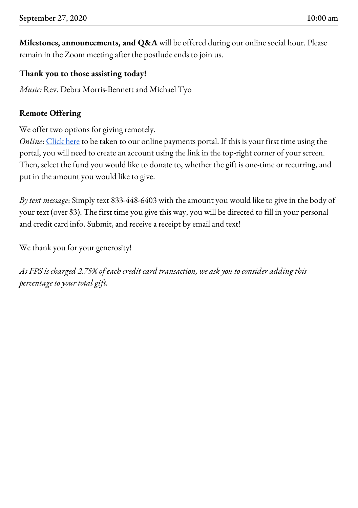**Milestones, announcements, and Q&A** will be offered during our online social hour. Please remain in the Zoom meeting after the postlude ends to join us.

# **Thank you to those assisting today!**

*Music:* Rev. Debra Morris-Bennett and Michael Tyo

# **Remote Offering**

We offer two options for giving remotely.

*Online*: [Click](https://gp.vancopayments.com/gpo/#/donateNow/5bb8e8a5-ce0f-4409-894d-d4217da) here to be taken to our online payments portal. If this is your first time using the portal, you will need to create an account using the link in the top-right corner of your screen. Then, select the fund you would like to donate to, whether the gift is one-time or recurring, and put in the amount you would like to give.

*By text message*: Simply text 833-448-6403 with the amount you would like to give in the body of your text (over \$3). The first time you give this way, you will be directed to fill in your personal and credit card info. Submit, and receive a receipt by email and text!

We thank you for your generosity!

*As FPS is charged 2.75% of each credit card transaction, we ask you to consider adding this percentage to your total gift.*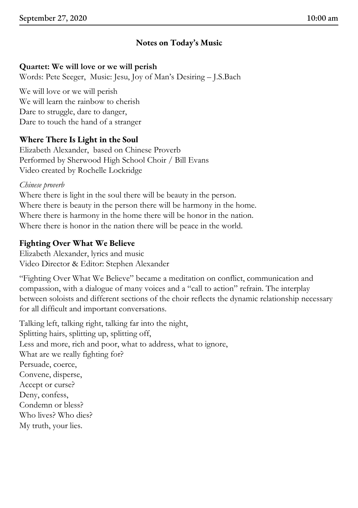# **Notes on Today's Music**

# **Quartet: We will love or we will perish**

Words: Pete Seeger, Music: Jesu, Joy of Man's Desiring – J.S.Bach

We will love or we will perish We will learn the rainbow to cherish Dare to struggle, dare to danger, Dare to touch the hand of a stranger

# **Where There Is Light in the Soul**

Elizabeth Alexander, based on Chinese Proverb Performed by Sherwood High School Choir / Bill Evans Video created by Rochelle Lockridge

#### *Chinese proverb*

Where there is light in the soul there will be beauty in the person. Where there is beauty in the person there will be harmony in the home. Where there is harmony in the home there will be honor in the nation. Where there is honor in the nation there will be peace in the world.

# **Fighting Over What We Believe**

Elizabeth Alexander, lyrics and music Video Director & Editor: Stephen Alexander

"Fighting Over What We Believe" became a meditation on conflict, communication and compassion, with a dialogue of many voices and a "call to action" refrain. The interplay between soloists and different sections of the choir reflects the dynamic relationship necessary for all difficult and important conversations.

Talking left, talking right, talking far into the night, Splitting hairs, splitting up, splitting off, Less and more, rich and poor, what to address, what to ignore, What are we really fighting for? Persuade, coerce, Convene, disperse, Accept or curse? Deny, confess, Condemn or bless? Who lives? Who dies? My truth, your lies.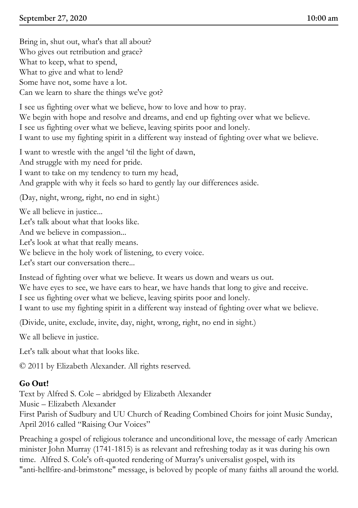Bring in, shut out, what's that all about? Who gives out retribution and grace? What to keep, what to spend, What to give and what to lend? Some have not, some have a lot. Can we learn to share the things we've got?

I see us fighting over what we believe, how to love and how to pray. We begin with hope and resolve and dreams, and end up fighting over what we believe. I see us fighting over what we believe, leaving spirits poor and lonely. I want to use my fighting spirit in a different way instead of fighting over what we believe.

I want to wrestle with the angel 'til the light of dawn, And struggle with my need for pride.

I want to take on my tendency to turn my head,

And grapple with why it feels so hard to gently lay our differences aside.

(Day, night, wrong, right, no end in sight.)

We all believe in justice...

Let's talk about what that looks like.

And we believe in compassion...

Let's look at what that really means.

We believe in the holy work of listening, to every voice.

Let's start our conversation there...

Instead of fighting over what we believe. It wears us down and wears us out.

We have eyes to see, we have ears to hear, we have hands that long to give and receive.

I see us fighting over what we believe, leaving spirits poor and lonely.

I want to use my fighting spirit in a different way instead of fighting over what we believe.

(Divide, unite, exclude, invite, day, night, wrong, right, no end in sight.)

We all believe in justice.

Let's talk about what that looks like.

© 2011 by Elizabeth Alexander. All rights reserved.

### **Go Out!**

Text by Alfred S. Cole – abridged by Elizabeth Alexander

Music – Elizabeth Alexander

First Parish of Sudbury and UU Church of Reading Combined Choirs for joint Music Sunday, April 2016 called "Raising Our Voices"

Preaching a gospel of religious tolerance and unconditional love, the message of early American minister John Murray (1741-1815) is as relevant and refreshing today as it was during his own time. Alfred S. Cole's oft-quoted rendering of Murray's universalist gospel, with its "anti-hellfire-and-brimstone" message, is beloved by people of many faiths all around the world.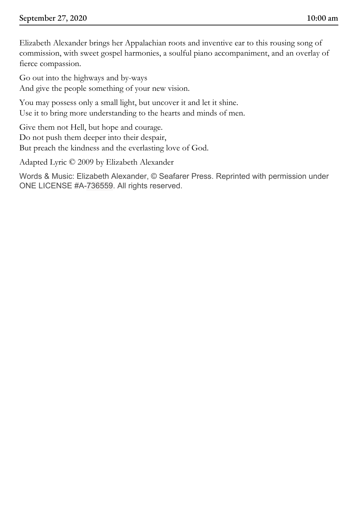Elizabeth Alexander brings her Appalachian roots and inventive ear to this rousing song of commission, with sweet gospel harmonies, a soulful piano accompaniment, and an overlay of fierce compassion.

Go out into the highways and by-ways And give the people something of your new vision.

You may possess only a small light, but uncover it and let it shine. Use it to bring more understanding to the hearts and minds of men.

Give them not Hell, but hope and courage. Do not push them deeper into their despair, But preach the kindness and the everlasting love of God.

Adapted Lyric © 2009 by Elizabeth Alexander

Words & Music: Elizabeth Alexander, © Seafarer Press. Reprinted with permission under ONE LICENSE #A-736559. All rights reserved.